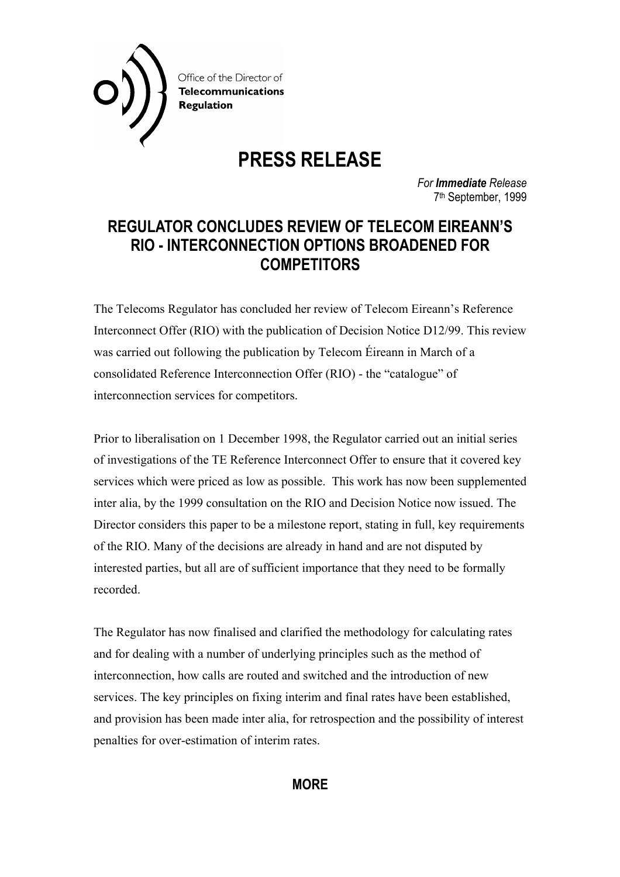

**PRESS RELEASE** 

*For Immediate Release*  7th September, 1999

## **REGULATOR CONCLUDES REVIEW OF TELECOM EIREANN'S RIO - INTERCONNECTION OPTIONS BROADENED FOR COMPETITORS**

The Telecoms Regulator has concluded her review of Telecom Eireann's Reference Interconnect Offer (RIO) with the publication of Decision Notice D12/99. This review was carried out following the publication by Telecom Éireann in March of a consolidated Reference Interconnection Offer (RIO) - the "catalogue" of interconnection services for competitors.

Prior to liberalisation on 1 December 1998, the Regulator carried out an initial series of investigations of the TE Reference Interconnect Offer to ensure that it covered key services which were priced as low as possible. This work has now been supplemented inter alia, by the 1999 consultation on the RIO and Decision Notice now issued. The Director considers this paper to be a milestone report, stating in full, key requirements of the RIO. Many of the decisions are already in hand and are not disputed by interested parties, but all are of sufficient importance that they need to be formally recorded.

The Regulator has now finalised and clarified the methodology for calculating rates and for dealing with a number of underlying principles such as the method of interconnection, how calls are routed and switched and the introduction of new services. The key principles on fixing interim and final rates have been established, and provision has been made inter alia, for retrospection and the possibility of interest penalties for over-estimation of interim rates.

## **MORE**